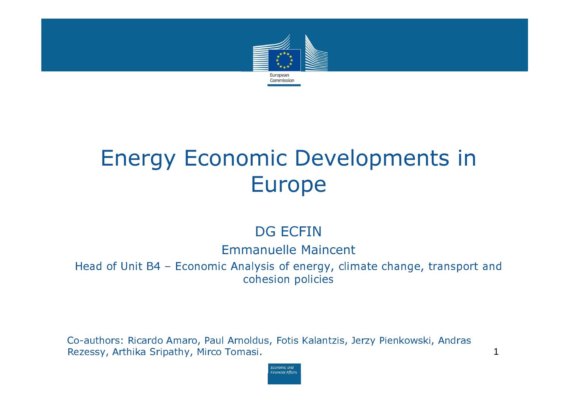

# Energy Economic Developments in Europe

### DG ECFIN

#### Emmanuelle Maincent

Head of Unit B4 – Economic Analysis of energy, climate change, transport and cohesion policies

Co-authors: Ricardo Amaro, Paul Arnoldus, Fotis Kalantzis, Jerzy Pienkowski, Andras Rezessy, Arthika Sripathy, Mirco Tomasi. 1988. The state of the state of the state of the state of the state o

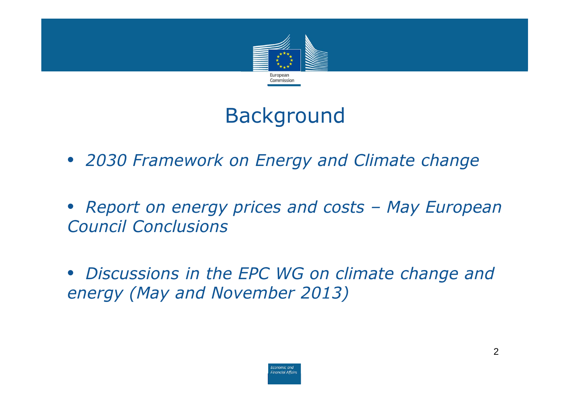

# Background

- 2030 Framework on Energy and Climate change
- Report on energy prices and costs May European Council Conclusions
- Discussions in the EPC WG on climate change and energy (May and November 2013)

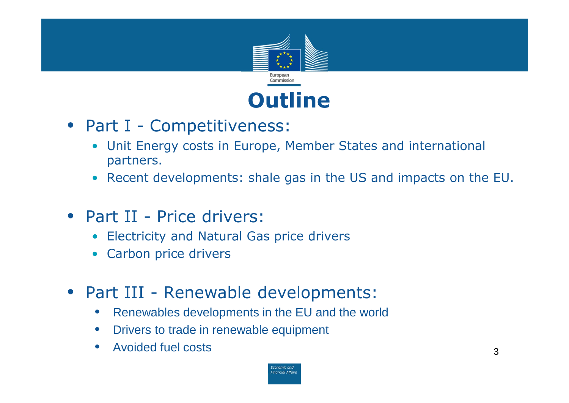

- Part I Competitiveness:
	- $\bullet$  Unit Energy costs in Europe, Member States and international partners.
	- Recent developments: shale gas in the US and impacts on the EU.
- Part II Price drivers:
	- •Electricity and Natural Gas price drivers
	- $\bullet$ Carbon price drivers
- Part III Renewable developments:
	- $\bullet$ Renewables developments in the EU and the world
	- $\bullet$ Drivers to trade in renewable equipment
	- • Avoided fuel costsэ нь там нь тоглогчийн тоглогчийн тоглогчийн дэлхийн тоглогчийн тоглогчийн тоглогчийн тоглогчийн тоглогчийн тог<br>Эмгек тоглогчийн тоглогчийн тоглогчийн тоглогчийн тоглогчийн тоглогчийн тоглогчийн тоглогчийн тоглогчийн тогл

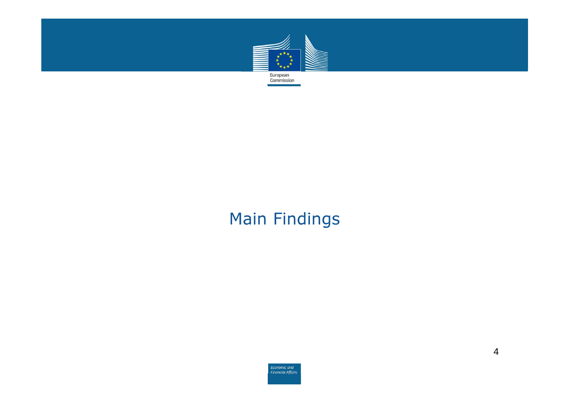

### Main Findings

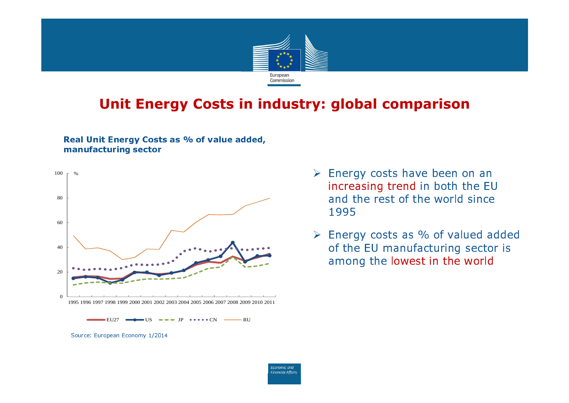

### Unit Energy Costs in industry: global comparison

#### Real Unit Energy Costs as % of value added, manufacturing sector



- $EU27$   $\longrightarrow$   $US$   $\longrightarrow$   $IP$   $\longrightarrow$   $\longrightarrow$   $CN$   $\longrightarrow$   $RU$
- Source: European Economy 1/2014
- $\triangleright$  Energy costs have been on an increasing trend in both the EU and the rest of the world since 1995
- $\triangleright$  Energy costs as % of valued added of the EU manufacturing sector is among the lowest in the world

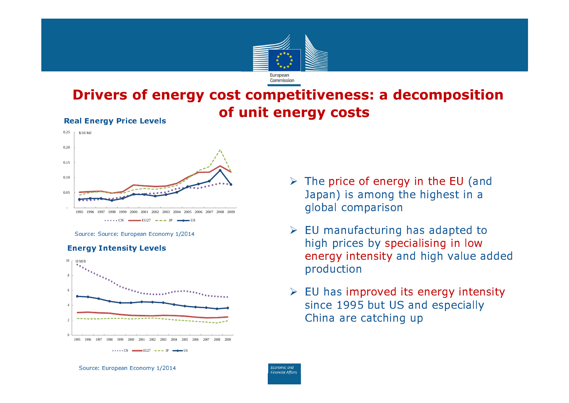

### Drivers of energy cost competitiveness: a decomposition of unit energy costs



Source: Source: European Economy 1/2014





- $\triangleright$  The price of energy in the EU (and Japan) is among the highest in a global comparison
- $\triangleright$  EU manufacturing has adapted to high prices by specialising in low energy intensity and high value added production
- $\triangleright$  EU has improved its energy intensity since 1995 but US and especially China are catching up



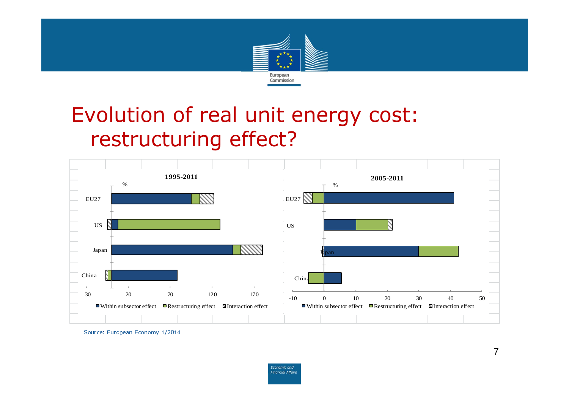

## Evolution of real unit energy cost: restructuring effect?



Source: European Economy 1/2014

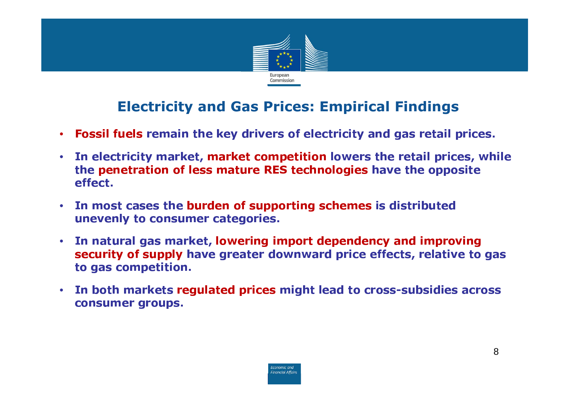

### Electricity and Gas Prices: Empirical Findings

- $\bullet$ Fossil fuels remain the key drivers of electricity and gas retail prices.
- $\bullet$  In electricity market, market competition lowers the retail prices, while the penetration of less mature RES technologies have the opposite effect.
- $\bullet$  In most cases the burden of supporting schemes is distributed unevenly to consumer categories.
- $\bullet$  In natural gas market, lowering import dependency and improving security of supply have greater downward price effects, relative to gas to gas competition.
- • In both markets regulated prices might lead to cross-subsidies across consumer groups.

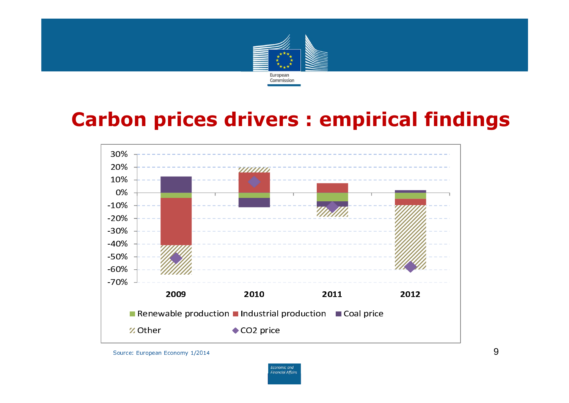

### Carbon prices drivers : empirical findings



Source: European Economy 1/2014

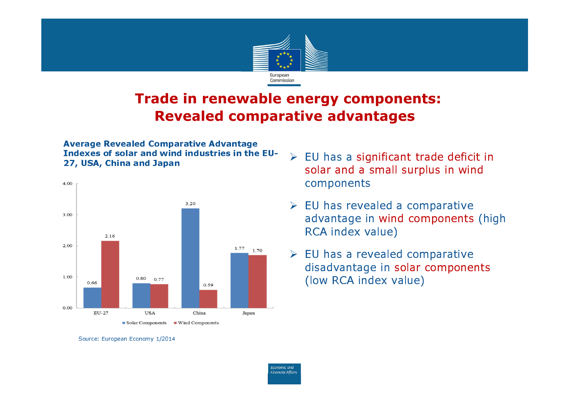

### Trade in renewable energy components: Revealed comparative advantages

#### Average Revealed Comparative Advantage Indexes of solar and wind industries in the EU-27, USA, China and Japan



- $\triangleright$  EU has a significant trade deficit in solar and a small surplus in wind components
- $\triangleright$  EU has revealed a comparative advantage in wind components (high RCA index value)
- $\triangleright$  EU has a revealed comparative disadvantage in solar components (low RCA index value)



Source: European Economy 1/2014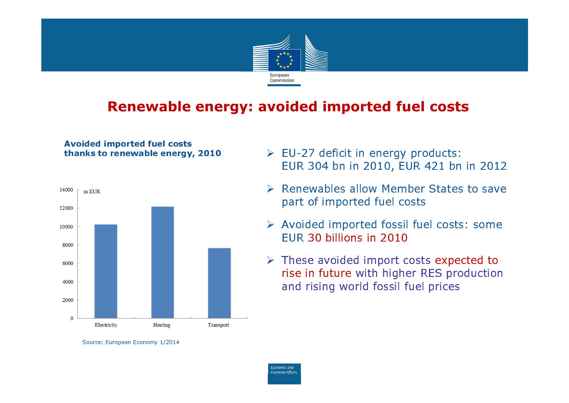

### Renewable energy: avoided imported fuel costs

Avoided imported fuel costs thanks to renewable energy, 2010



- $\triangleright$  EU-27 deficit in energy products: EUR 304 bn in 2010, EUR 421 bn in 2012
- **▶ Renewables allow Member States to save** part of imported fuel costs
- Avoided imported fossil fuel costs: some EUR 30 billions in 2010
- $\triangleright$  These avoided import costs expected to rise in future with higher RES production and rising world fossil fuel prices



Source: European Economy 1/2014